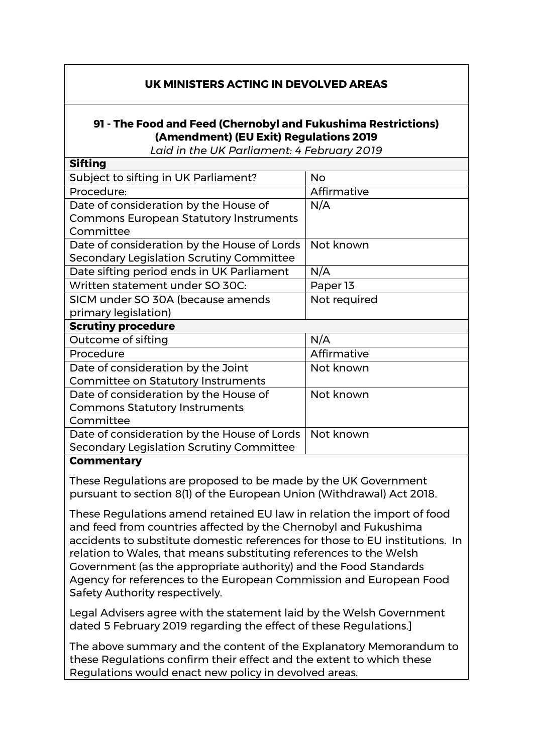## **UK MINISTERS ACTING IN DEVOLVED AREAS**

## **91 - The Food and Feed (Chernobyl and Fukushima Restrictions) (Amendment) (EU Exit) Regulations 2019**

*Laid in the UK Parliament: 4 February 2019*

| <b>Sifting</b>                                |              |
|-----------------------------------------------|--------------|
| Subject to sifting in UK Parliament?          | <b>No</b>    |
| Procedure:                                    | Affirmative  |
| Date of consideration by the House of         | N/A          |
| <b>Commons European Statutory Instruments</b> |              |
| Committee                                     |              |
| Date of consideration by the House of Lords   | Not known    |
| Secondary Legislation Scrutiny Committee      |              |
| Date sifting period ends in UK Parliament     | N/A          |
| Written statement under SO 30C:               | Paper 13     |
| SICM under SO 30A (because amends             | Not required |
| primary legislation)                          |              |
| <b>Scrutiny procedure</b>                     |              |
| Outcome of sifting                            | N/A          |
| Procedure                                     | Affirmative  |
| Date of consideration by the Joint            | Not known    |
| <b>Committee on Statutory Instruments</b>     |              |
| Date of consideration by the House of         | Not known    |
| <b>Commons Statutory Instruments</b>          |              |
| Committee                                     |              |
| Date of consideration by the House of Lords   | Not known    |
| Secondary Legislation Scrutiny Committee      |              |
|                                               |              |

## **Commentary**

These Regulations are proposed to be made by the UK Government pursuant to section 8(1) of the European Union (Withdrawal) Act 2018.

These Regulations amend retained EU law in relation the import of food and feed from countries affected by the Chernobyl and Fukushima accidents to substitute domestic references for those to EU institutions. In relation to Wales, that means substituting references to the Welsh Government (as the appropriate authority) and the Food Standards Agency for references to the European Commission and European Food Safety Authority respectively.

Legal Advisers agree with the statement laid by the Welsh Government dated 5 February 2019 regarding the effect of these Regulations.]

The above summary and the content of the Explanatory Memorandum to these Regulations confirm their effect and the extent to which these Regulations would enact new policy in devolved areas.